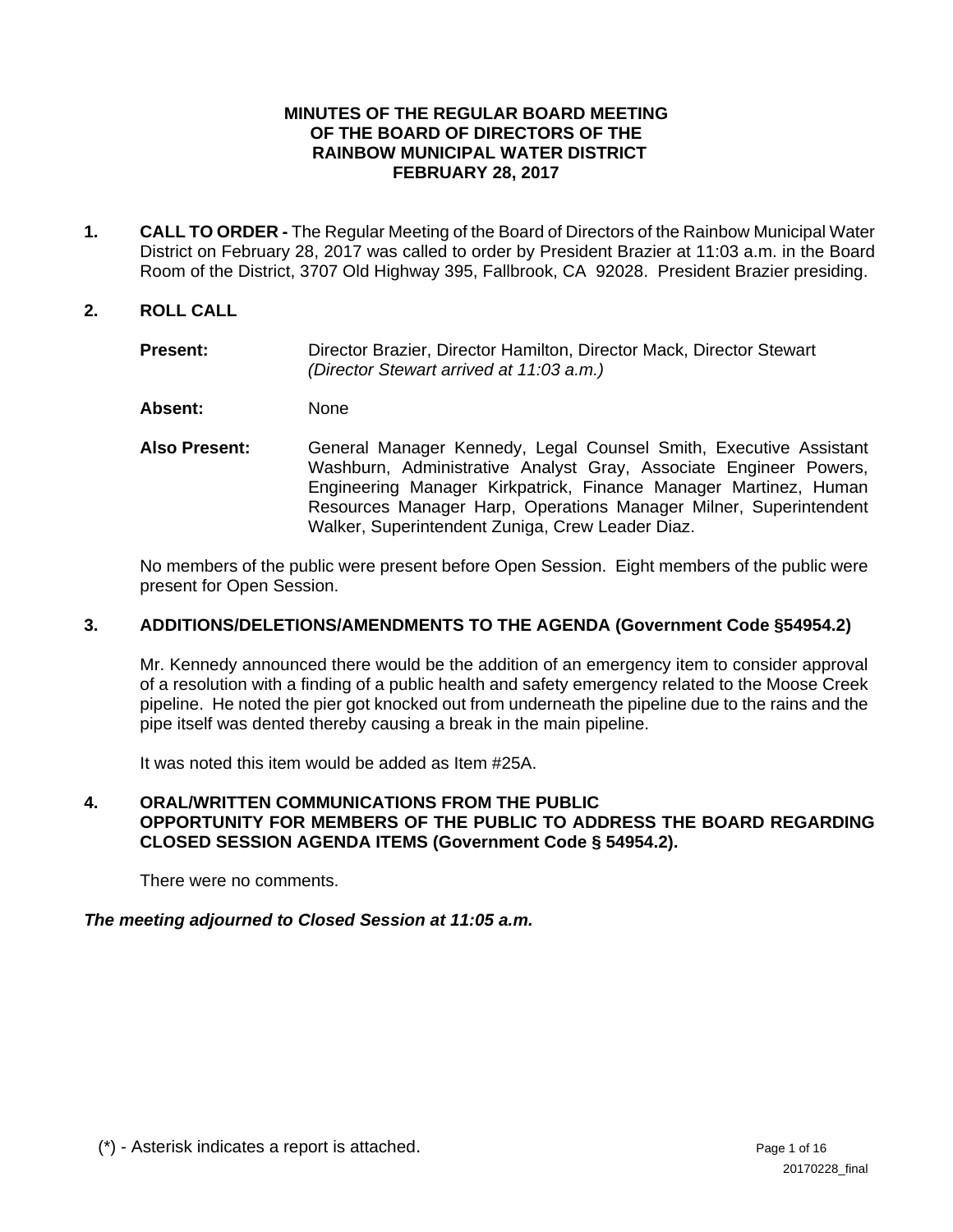#### **MINUTES OF THE REGULAR BOARD MEETING OF THE BOARD OF DIRECTORS OF THE RAINBOW MUNICIPAL WATER DISTRICT FEBRUARY 28, 2017**

**1. CALL TO ORDER -** The Regular Meeting of the Board of Directors of the Rainbow Municipal Water District on February 28, 2017 was called to order by President Brazier at 11:03 a.m. in the Board Room of the District, 3707 Old Highway 395, Fallbrook, CA 92028. President Brazier presiding.

### **2. ROLL CALL**

- Present: Director Brazier, Director Hamilton, Director Mack, Director Stewart *(Director Stewart arrived at 11:03 a.m.)*
- **Absent:** None
- **Also Present:** General Manager Kennedy, Legal Counsel Smith, Executive Assistant Washburn, Administrative Analyst Gray, Associate Engineer Powers, Engineering Manager Kirkpatrick, Finance Manager Martinez, Human Resources Manager Harp, Operations Manager Milner, Superintendent Walker, Superintendent Zuniga, Crew Leader Diaz.

No members of the public were present before Open Session. Eight members of the public were present for Open Session.

### **3. ADDITIONS/DELETIONS/AMENDMENTS TO THE AGENDA (Government Code §54954.2)**

Mr. Kennedy announced there would be the addition of an emergency item to consider approval of a resolution with a finding of a public health and safety emergency related to the Moose Creek pipeline. He noted the pier got knocked out from underneath the pipeline due to the rains and the pipe itself was dented thereby causing a break in the main pipeline.

It was noted this item would be added as Item #25A.

### **4. ORAL/WRITTEN COMMUNICATIONS FROM THE PUBLIC OPPORTUNITY FOR MEMBERS OF THE PUBLIC TO ADDRESS THE BOARD REGARDING CLOSED SESSION AGENDA ITEMS (Government Code § 54954.2).**

There were no comments.

#### *The meeting adjourned to Closed Session at 11:05 a.m.*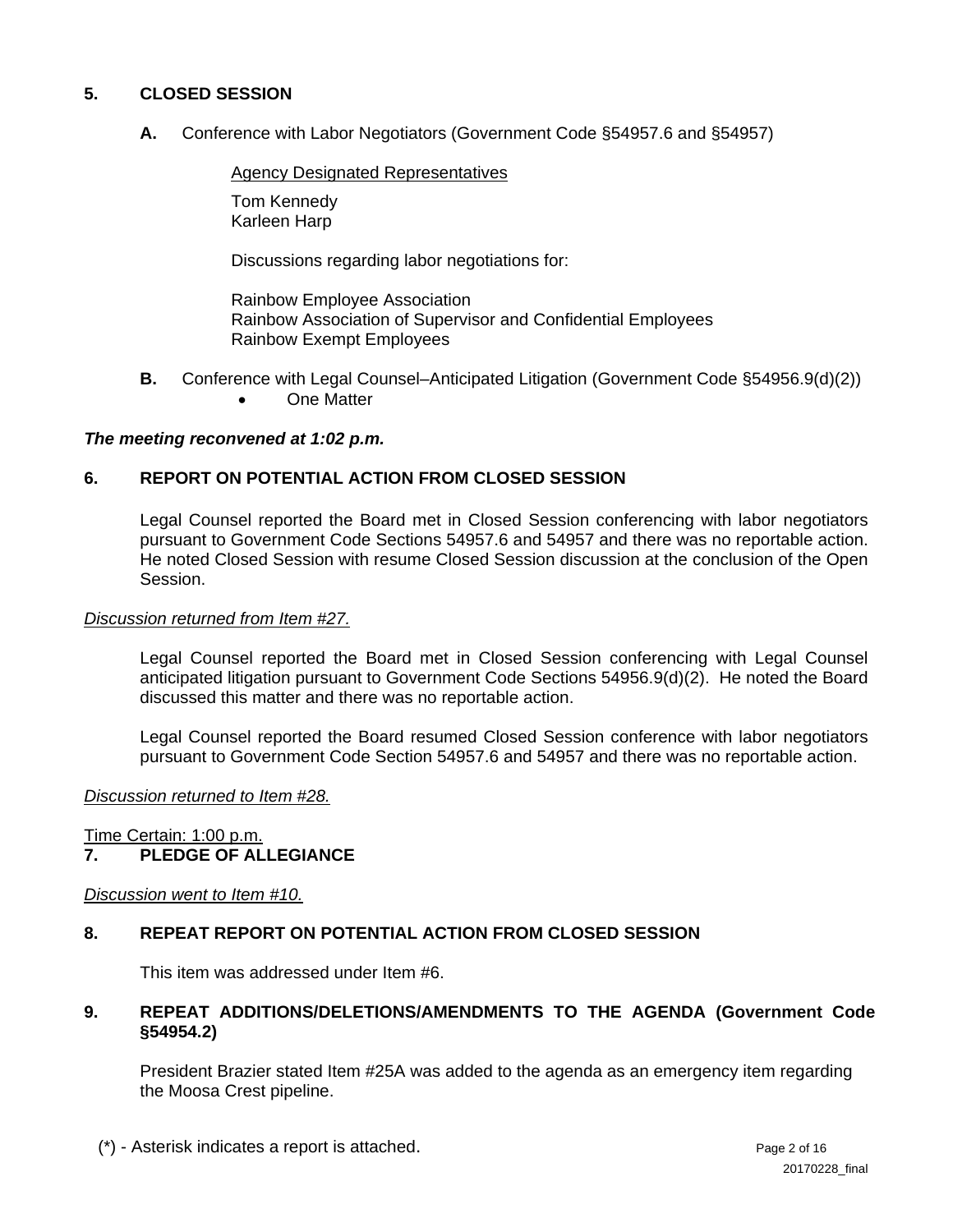## **5. CLOSED SESSION**

 **A.** Conference with Labor Negotiators (Government Code §54957.6 and §54957)

Agency Designated Representatives

 Tom Kennedy Karleen Harp

Discussions regarding labor negotiations for:

 Rainbow Employee Association Rainbow Association of Supervisor and Confidential Employees Rainbow Exempt Employees

- **B.** Conference with Legal Counsel–Anticipated Litigation (Government Code §54956.9(d)(2))
	- One Matter

#### *The meeting reconvened at 1:02 p.m.*

## **6. REPORT ON POTENTIAL ACTION FROM CLOSED SESSION**

Legal Counsel reported the Board met in Closed Session conferencing with labor negotiators pursuant to Government Code Sections 54957.6 and 54957 and there was no reportable action. He noted Closed Session with resume Closed Session discussion at the conclusion of the Open Session.

#### *Discussion returned from Item #27.*

Legal Counsel reported the Board met in Closed Session conferencing with Legal Counsel anticipated litigation pursuant to Government Code Sections 54956.9(d)(2). He noted the Board discussed this matter and there was no reportable action.

Legal Counsel reported the Board resumed Closed Session conference with labor negotiators pursuant to Government Code Section 54957.6 and 54957 and there was no reportable action.

#### *Discussion returned to Item #28.*

Time Certain: 1:00 p.m.

# **7. PLEDGE OF ALLEGIANCE**

*Discussion went to Item #10.* 

## **8. REPEAT REPORT ON POTENTIAL ACTION FROM CLOSED SESSION**

This item was addressed under Item #6.

## **9. REPEAT ADDITIONS/DELETIONS/AMENDMENTS TO THE AGENDA (Government Code §54954.2)**

President Brazier stated Item #25A was added to the agenda as an emergency item regarding the Moosa Crest pipeline.

(\*) - Asterisk indicates a report is attached. Page 2 of 16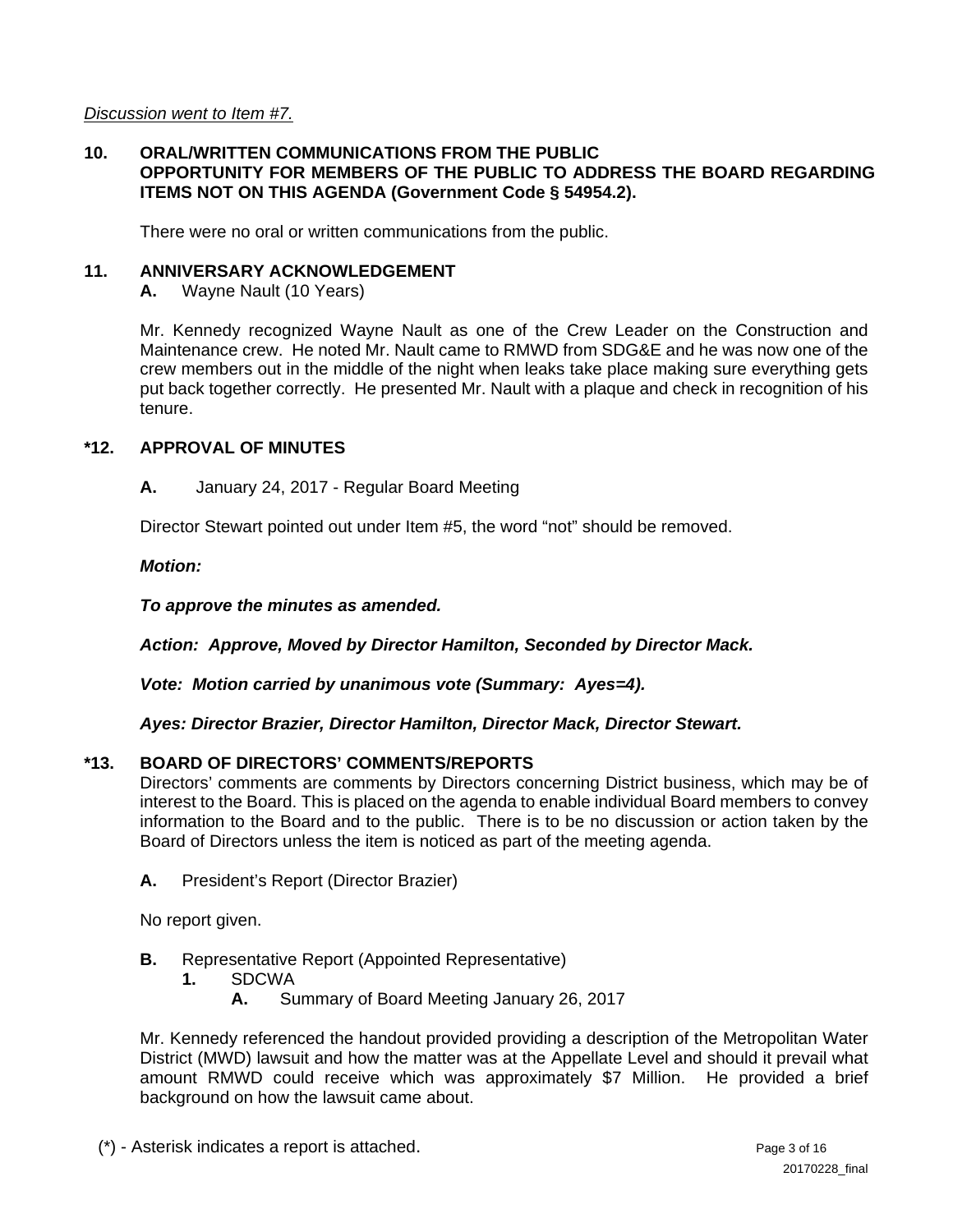*Discussion went to Item #7.* 

### **10. ORAL/WRITTEN COMMUNICATIONS FROM THE PUBLIC OPPORTUNITY FOR MEMBERS OF THE PUBLIC TO ADDRESS THE BOARD REGARDING ITEMS NOT ON THIS AGENDA (Government Code § 54954.2).**

There were no oral or written communications from the public.

#### **11. ANNIVERSARY ACKNOWLEDGEMENT**

**A.** Wayne Nault (10 Years)

Mr. Kennedy recognized Wayne Nault as one of the Crew Leader on the Construction and Maintenance crew. He noted Mr. Nault came to RMWD from SDG&E and he was now one of the crew members out in the middle of the night when leaks take place making sure everything gets put back together correctly. He presented Mr. Nault with a plaque and check in recognition of his tenure.

### **\*12. APPROVAL OF MINUTES**

**A.** January 24, 2017 - Regular Board Meeting

Director Stewart pointed out under Item #5, the word "not" should be removed.

*Motion:* 

*To approve the minutes as amended.* 

*Action: Approve, Moved by Director Hamilton, Seconded by Director Mack.* 

*Vote: Motion carried by unanimous vote (Summary: Ayes=4).* 

*Ayes: Director Brazier, Director Hamilton, Director Mack, Director Stewart.* 

## **\*13. BOARD OF DIRECTORS' COMMENTS/REPORTS**

Directors' comments are comments by Directors concerning District business, which may be of interest to the Board. This is placed on the agenda to enable individual Board members to convey information to the Board and to the public. There is to be no discussion or action taken by the Board of Directors unless the item is noticed as part of the meeting agenda.

**A.** President's Report (Director Brazier)

No report given.

- **B.** Representative Report (Appointed Representative)
	- **1.** SDCWA
		- **A.** Summary of Board Meeting January 26, 2017

 Mr. Kennedy referenced the handout provided providing a description of the Metropolitan Water District (MWD) lawsuit and how the matter was at the Appellate Level and should it prevail what amount RMWD could receive which was approximately \$7 Million. He provided a brief background on how the lawsuit came about.

(\*) - Asterisk indicates a report is attached. Page 3 of 16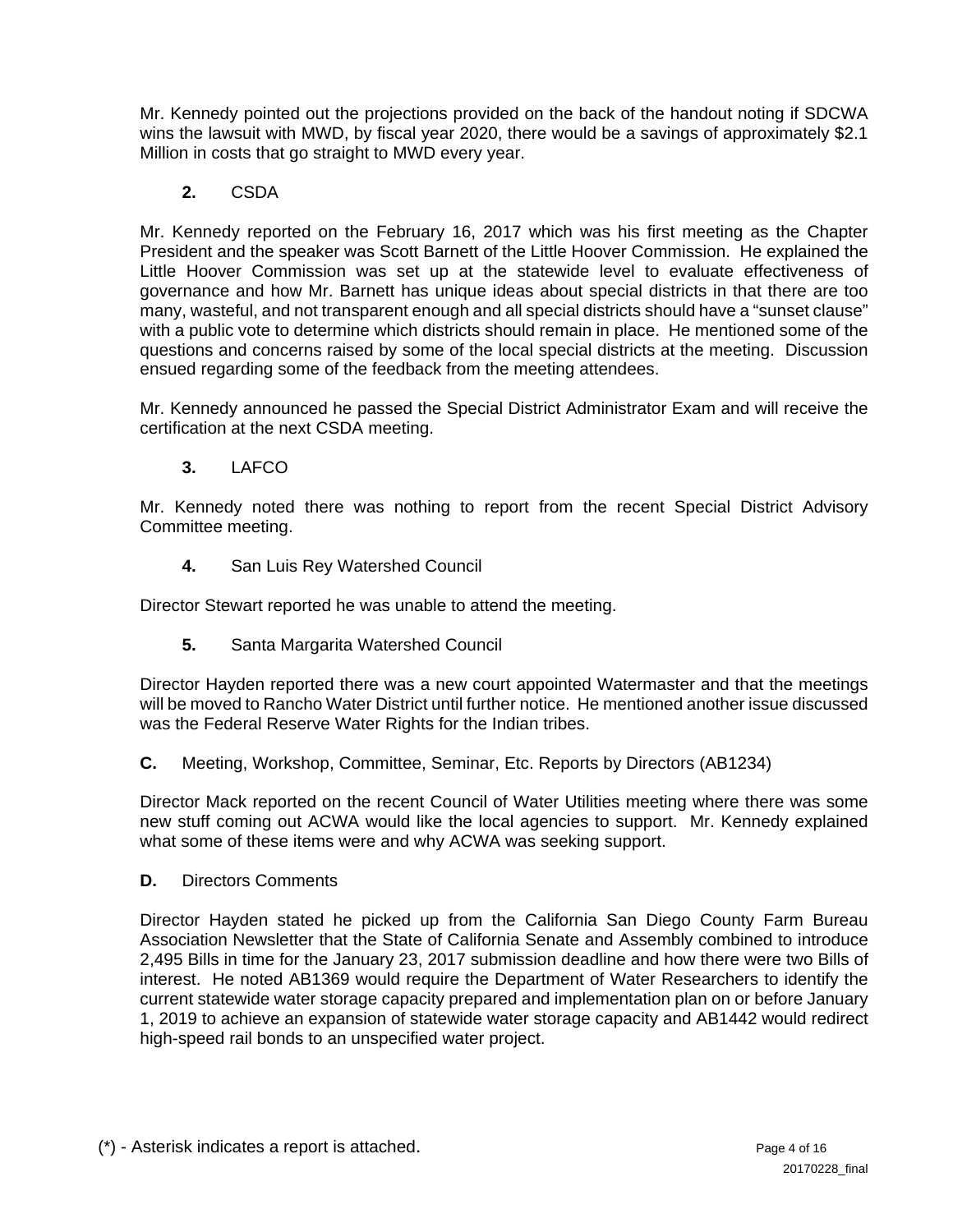Mr. Kennedy pointed out the projections provided on the back of the handout noting if SDCWA wins the lawsuit with MWD, by fiscal year 2020, there would be a savings of approximately \$2.1 Million in costs that go straight to MWD every year.

## **2.** CSDA

 Mr. Kennedy reported on the February 16, 2017 which was his first meeting as the Chapter President and the speaker was Scott Barnett of the Little Hoover Commission. He explained the Little Hoover Commission was set up at the statewide level to evaluate effectiveness of governance and how Mr. Barnett has unique ideas about special districts in that there are too many, wasteful, and not transparent enough and all special districts should have a "sunset clause" with a public vote to determine which districts should remain in place. He mentioned some of the questions and concerns raised by some of the local special districts at the meeting. Discussion ensued regarding some of the feedback from the meeting attendees.

 Mr. Kennedy announced he passed the Special District Administrator Exam and will receive the certification at the next CSDA meeting.

**3.** LAFCO

Mr. Kennedy noted there was nothing to report from the recent Special District Advisory Committee meeting.

 **4.** San Luis Rey Watershed Council

Director Stewart reported he was unable to attend the meeting.

 **5.** Santa Margarita Watershed Council

Director Hayden reported there was a new court appointed Watermaster and that the meetings will be moved to Rancho Water District until further notice. He mentioned another issue discussed was the Federal Reserve Water Rights for the Indian tribes.

**C.** Meeting, Workshop, Committee, Seminar, Etc. Reports by Directors (AB1234)

Director Mack reported on the recent Council of Water Utilities meeting where there was some new stuff coming out ACWA would like the local agencies to support. Mr. Kennedy explained what some of these items were and why ACWA was seeking support.

**D.** Directors Comments

Director Hayden stated he picked up from the California San Diego County Farm Bureau Association Newsletter that the State of California Senate and Assembly combined to introduce 2,495 Bills in time for the January 23, 2017 submission deadline and how there were two Bills of interest. He noted AB1369 would require the Department of Water Researchers to identify the current statewide water storage capacity prepared and implementation plan on or before January 1, 2019 to achieve an expansion of statewide water storage capacity and AB1442 would redirect high-speed rail bonds to an unspecified water project.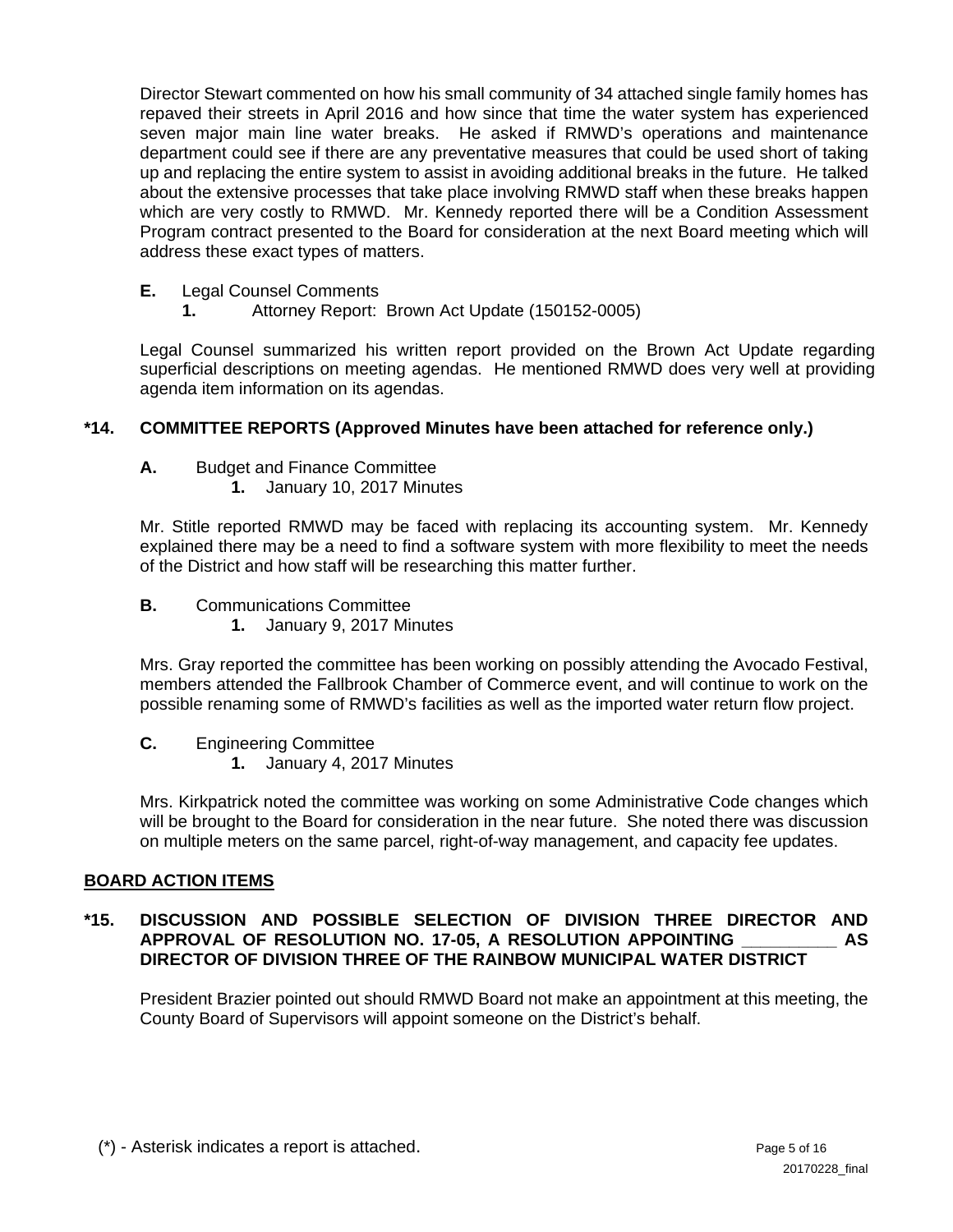Director Stewart commented on how his small community of 34 attached single family homes has repaved their streets in April 2016 and how since that time the water system has experienced seven major main line water breaks. He asked if RMWD's operations and maintenance department could see if there are any preventative measures that could be used short of taking up and replacing the entire system to assist in avoiding additional breaks in the future. He talked about the extensive processes that take place involving RMWD staff when these breaks happen which are very costly to RMWD. Mr. Kennedy reported there will be a Condition Assessment Program contract presented to the Board for consideration at the next Board meeting which will address these exact types of matters.

- **E.** Legal Counsel Comments
	- **1.** Attorney Report: Brown Act Update (150152-0005)

Legal Counsel summarized his written report provided on the Brown Act Update regarding superficial descriptions on meeting agendas. He mentioned RMWD does very well at providing agenda item information on its agendas.

## **\*14. COMMITTEE REPORTS (Approved Minutes have been attached for reference only.)**

- **A.** Budget and Finance Committee
	- **1.** January 10, 2017 Minutes

Mr. Stitle reported RMWD may be faced with replacing its accounting system. Mr. Kennedy explained there may be a need to find a software system with more flexibility to meet the needs of the District and how staff will be researching this matter further.

- **B.** Communications Committee
	- **1.** January 9, 2017 Minutes

Mrs. Gray reported the committee has been working on possibly attending the Avocado Festival, members attended the Fallbrook Chamber of Commerce event, and will continue to work on the possible renaming some of RMWD's facilities as well as the imported water return flow project.

- **C.** Engineering Committee
	- **1.** January 4, 2017 Minutes

Mrs. Kirkpatrick noted the committee was working on some Administrative Code changes which will be brought to the Board for consideration in the near future. She noted there was discussion on multiple meters on the same parcel, right-of-way management, and capacity fee updates.

## **BOARD ACTION ITEMS**

## **\*15. DISCUSSION AND POSSIBLE SELECTION OF DIVISION THREE DIRECTOR AND APPROVAL OF RESOLUTION NO. 17-05, A RESOLUTION APPOINTING \_\_\_\_\_\_\_\_\_\_ AS DIRECTOR OF DIVISION THREE OF THE RAINBOW MUNICIPAL WATER DISTRICT**

President Brazier pointed out should RMWD Board not make an appointment at this meeting, the County Board of Supervisors will appoint someone on the District's behalf.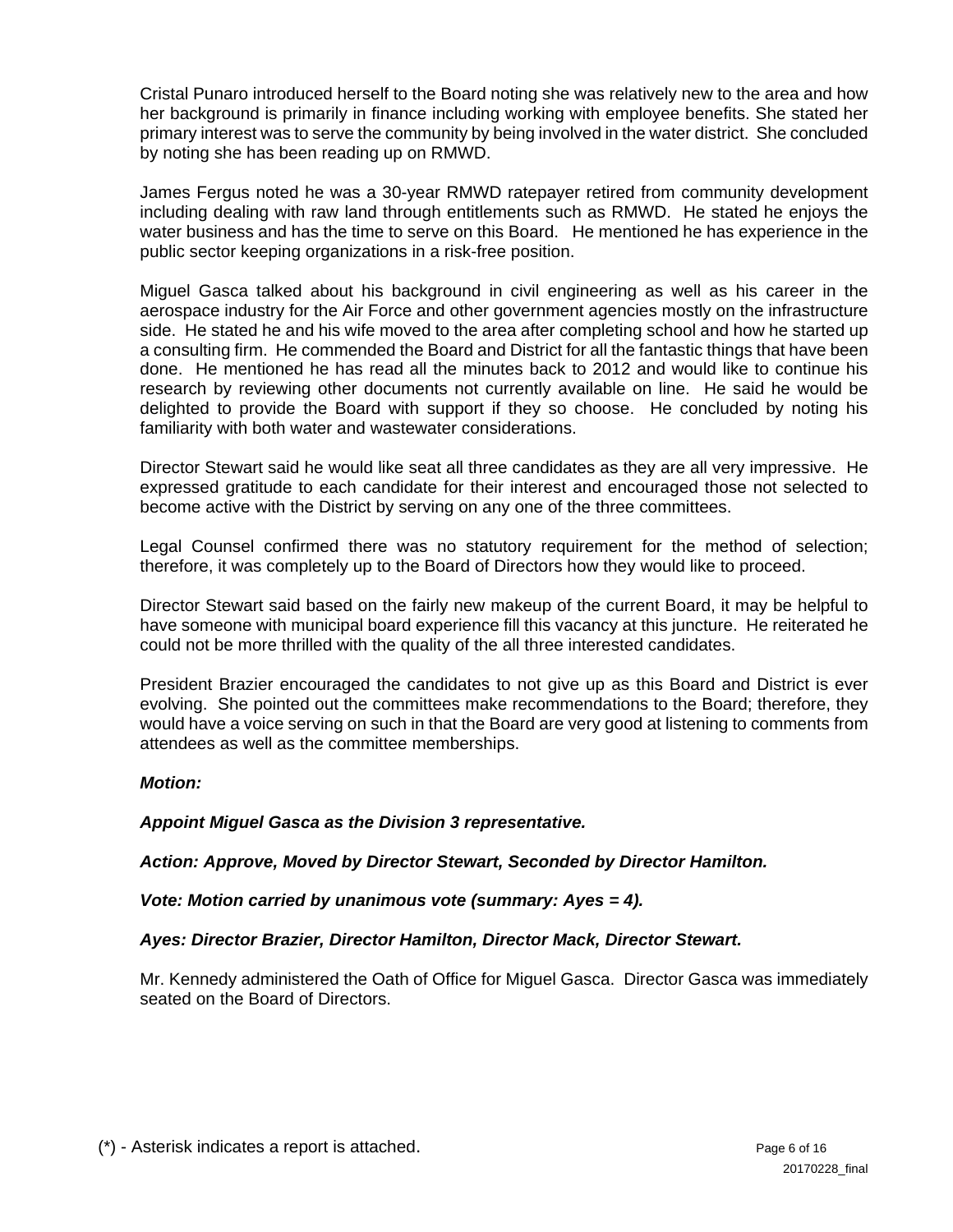Cristal Punaro introduced herself to the Board noting she was relatively new to the area and how her background is primarily in finance including working with employee benefits. She stated her primary interest was to serve the community by being involved in the water district. She concluded by noting she has been reading up on RMWD.

James Fergus noted he was a 30-year RMWD ratepayer retired from community development including dealing with raw land through entitlements such as RMWD. He stated he enjoys the water business and has the time to serve on this Board. He mentioned he has experience in the public sector keeping organizations in a risk-free position.

Miguel Gasca talked about his background in civil engineering as well as his career in the aerospace industry for the Air Force and other government agencies mostly on the infrastructure side. He stated he and his wife moved to the area after completing school and how he started up a consulting firm. He commended the Board and District for all the fantastic things that have been done. He mentioned he has read all the minutes back to 2012 and would like to continue his research by reviewing other documents not currently available on line. He said he would be delighted to provide the Board with support if they so choose. He concluded by noting his familiarity with both water and wastewater considerations.

Director Stewart said he would like seat all three candidates as they are all very impressive. He expressed gratitude to each candidate for their interest and encouraged those not selected to become active with the District by serving on any one of the three committees.

Legal Counsel confirmed there was no statutory requirement for the method of selection; therefore, it was completely up to the Board of Directors how they would like to proceed.

Director Stewart said based on the fairly new makeup of the current Board, it may be helpful to have someone with municipal board experience fill this vacancy at this juncture. He reiterated he could not be more thrilled with the quality of the all three interested candidates.

President Brazier encouraged the candidates to not give up as this Board and District is ever evolving. She pointed out the committees make recommendations to the Board; therefore, they would have a voice serving on such in that the Board are very good at listening to comments from attendees as well as the committee memberships.

## *Motion:*

*Appoint Miguel Gasca as the Division 3 representative.* 

*Action: Approve, Moved by Director Stewart, Seconded by Director Hamilton.* 

*Vote: Motion carried by unanimous vote (summary: Ayes = 4).* 

## *Ayes: Director Brazier, Director Hamilton, Director Mack, Director Stewart.*

Mr. Kennedy administered the Oath of Office for Miguel Gasca. Director Gasca was immediately seated on the Board of Directors.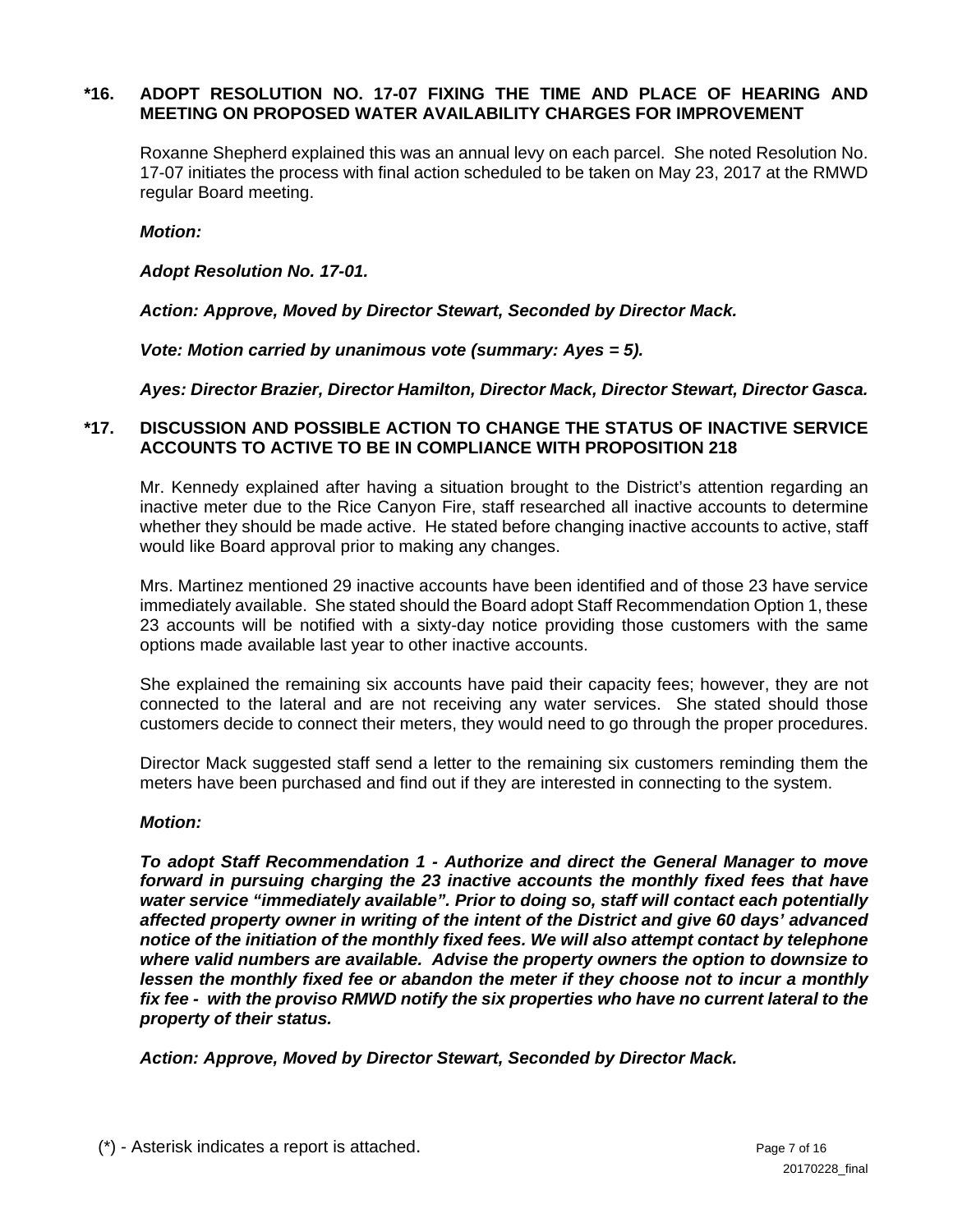## **\*16. ADOPT RESOLUTION NO. 17-07 FIXING THE TIME AND PLACE OF HEARING AND MEETING ON PROPOSED WATER AVAILABILITY CHARGES FOR IMPROVEMENT**

Roxanne Shepherd explained this was an annual levy on each parcel. She noted Resolution No. 17-07 initiates the process with final action scheduled to be taken on May 23, 2017 at the RMWD regular Board meeting.

#### *Motion:*

*Adopt Resolution No. 17-01.* 

*Action: Approve, Moved by Director Stewart, Seconded by Director Mack.* 

 *Vote: Motion carried by unanimous vote (summary: Ayes = 5).* 

*Ayes: Director Brazier, Director Hamilton, Director Mack, Director Stewart, Director Gasca.* 

### **\*17. DISCUSSION AND POSSIBLE ACTION TO CHANGE THE STATUS OF INACTIVE SERVICE ACCOUNTS TO ACTIVE TO BE IN COMPLIANCE WITH PROPOSITION 218**

Mr. Kennedy explained after having a situation brought to the District's attention regarding an inactive meter due to the Rice Canyon Fire, staff researched all inactive accounts to determine whether they should be made active. He stated before changing inactive accounts to active, staff would like Board approval prior to making any changes.

Mrs. Martinez mentioned 29 inactive accounts have been identified and of those 23 have service immediately available. She stated should the Board adopt Staff Recommendation Option 1, these 23 accounts will be notified with a sixty-day notice providing those customers with the same options made available last year to other inactive accounts.

She explained the remaining six accounts have paid their capacity fees; however, they are not connected to the lateral and are not receiving any water services. She stated should those customers decide to connect their meters, they would need to go through the proper procedures.

Director Mack suggested staff send a letter to the remaining six customers reminding them the meters have been purchased and find out if they are interested in connecting to the system.

#### *Motion:*

*To adopt Staff Recommendation 1 - Authorize and direct the General Manager to move forward in pursuing charging the 23 inactive accounts the monthly fixed fees that have water service "immediately available". Prior to doing so, staff will contact each potentially affected property owner in writing of the intent of the District and give 60 days' advanced notice of the initiation of the monthly fixed fees. We will also attempt contact by telephone where valid numbers are available. Advise the property owners the option to downsize to lessen the monthly fixed fee or abandon the meter if they choose not to incur a monthly fix fee - with the proviso RMWD notify the six properties who have no current lateral to the property of their status.* 

*Action: Approve, Moved by Director Stewart, Seconded by Director Mack.*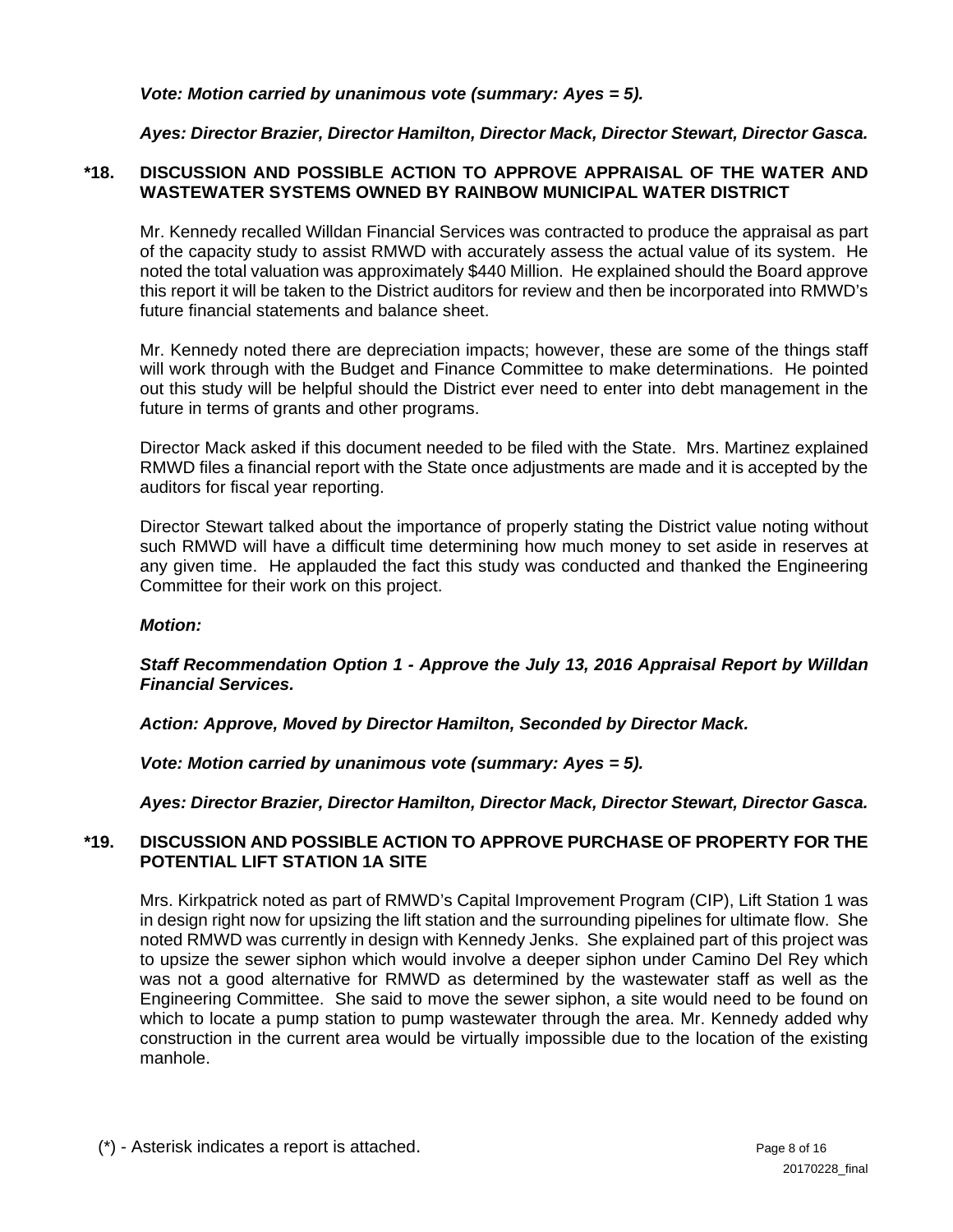*Vote: Motion carried by unanimous vote (summary: Ayes = 5).* 

*Ayes: Director Brazier, Director Hamilton, Director Mack, Director Stewart, Director Gasca.* 

## **\*18. DISCUSSION AND POSSIBLE ACTION TO APPROVE APPRAISAL OF THE WATER AND WASTEWATER SYSTEMS OWNED BY RAINBOW MUNICIPAL WATER DISTRICT**

Mr. Kennedy recalled Willdan Financial Services was contracted to produce the appraisal as part of the capacity study to assist RMWD with accurately assess the actual value of its system. He noted the total valuation was approximately \$440 Million. He explained should the Board approve this report it will be taken to the District auditors for review and then be incorporated into RMWD's future financial statements and balance sheet.

Mr. Kennedy noted there are depreciation impacts; however, these are some of the things staff will work through with the Budget and Finance Committee to make determinations. He pointed out this study will be helpful should the District ever need to enter into debt management in the future in terms of grants and other programs.

Director Mack asked if this document needed to be filed with the State. Mrs. Martinez explained RMWD files a financial report with the State once adjustments are made and it is accepted by the auditors for fiscal year reporting.

Director Stewart talked about the importance of properly stating the District value noting without such RMWD will have a difficult time determining how much money to set aside in reserves at any given time. He applauded the fact this study was conducted and thanked the Engineering Committee for their work on this project.

## *Motion:*

#### *Staff Recommendation Option 1 - Approve the July 13, 2016 Appraisal Report by Willdan Financial Services.*

*Action: Approve, Moved by Director Hamilton, Seconded by Director Mack.* 

 *Vote: Motion carried by unanimous vote (summary: Ayes = 5).* 

*Ayes: Director Brazier, Director Hamilton, Director Mack, Director Stewart, Director Gasca.* 

#### **\*19. DISCUSSION AND POSSIBLE ACTION TO APPROVE PURCHASE OF PROPERTY FOR THE POTENTIAL LIFT STATION 1A SITE**

Mrs. Kirkpatrick noted as part of RMWD's Capital Improvement Program (CIP), Lift Station 1 was in design right now for upsizing the lift station and the surrounding pipelines for ultimate flow. She noted RMWD was currently in design with Kennedy Jenks. She explained part of this project was to upsize the sewer siphon which would involve a deeper siphon under Camino Del Rey which was not a good alternative for RMWD as determined by the wastewater staff as well as the Engineering Committee. She said to move the sewer siphon, a site would need to be found on which to locate a pump station to pump wastewater through the area. Mr. Kennedy added why construction in the current area would be virtually impossible due to the location of the existing manhole.

(\*) - Asterisk indicates a report is attached. Page 8 of 16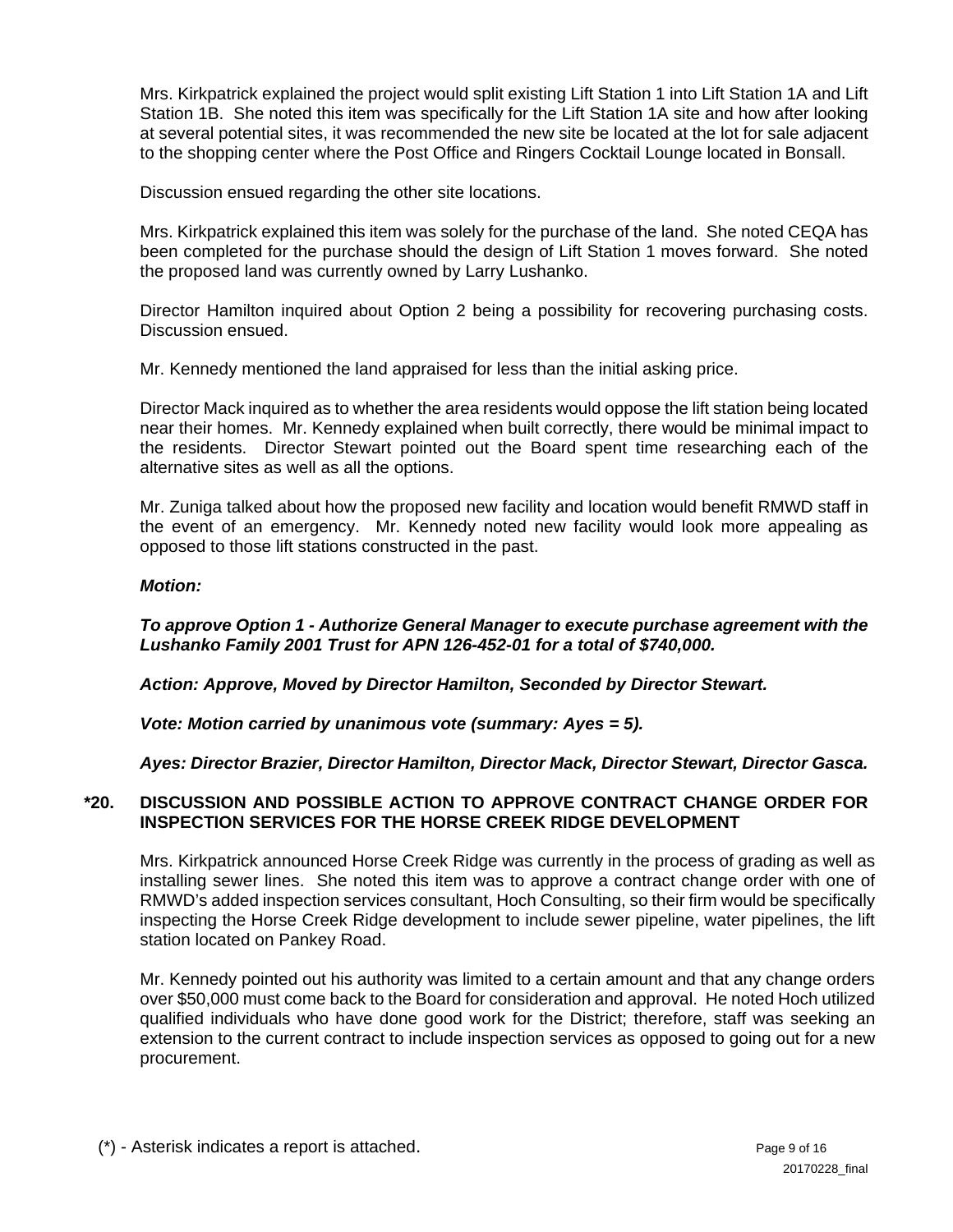Mrs. Kirkpatrick explained the project would split existing Lift Station 1 into Lift Station 1A and Lift Station 1B. She noted this item was specifically for the Lift Station 1A site and how after looking at several potential sites, it was recommended the new site be located at the lot for sale adjacent to the shopping center where the Post Office and Ringers Cocktail Lounge located in Bonsall.

Discussion ensued regarding the other site locations.

Mrs. Kirkpatrick explained this item was solely for the purchase of the land. She noted CEQA has been completed for the purchase should the design of Lift Station 1 moves forward. She noted the proposed land was currently owned by Larry Lushanko.

Director Hamilton inquired about Option 2 being a possibility for recovering purchasing costs. Discussion ensued.

Mr. Kennedy mentioned the land appraised for less than the initial asking price.

Director Mack inquired as to whether the area residents would oppose the lift station being located near their homes. Mr. Kennedy explained when built correctly, there would be minimal impact to the residents. Director Stewart pointed out the Board spent time researching each of the alternative sites as well as all the options.

Mr. Zuniga talked about how the proposed new facility and location would benefit RMWD staff in the event of an emergency. Mr. Kennedy noted new facility would look more appealing as opposed to those lift stations constructed in the past.

## *Motion:*

## *To approve Option 1 - Authorize General Manager to execute purchase agreement with the Lushanko Family 2001 Trust for APN 126-452-01 for a total of \$740,000.*

*Action: Approve, Moved by Director Hamilton, Seconded by Director Stewart.* 

*Vote: Motion carried by unanimous vote (summary: Ayes = 5).* 

*Ayes: Director Brazier, Director Hamilton, Director Mack, Director Stewart, Director Gasca.* 

## **\*20. DISCUSSION AND POSSIBLE ACTION TO APPROVE CONTRACT CHANGE ORDER FOR INSPECTION SERVICES FOR THE HORSE CREEK RIDGE DEVELOPMENT**

 Mrs. Kirkpatrick announced Horse Creek Ridge was currently in the process of grading as well as installing sewer lines. She noted this item was to approve a contract change order with one of RMWD's added inspection services consultant, Hoch Consulting, so their firm would be specifically inspecting the Horse Creek Ridge development to include sewer pipeline, water pipelines, the lift station located on Pankey Road.

 Mr. Kennedy pointed out his authority was limited to a certain amount and that any change orders over \$50,000 must come back to the Board for consideration and approval. He noted Hoch utilized qualified individuals who have done good work for the District; therefore, staff was seeking an extension to the current contract to include inspection services as opposed to going out for a new procurement.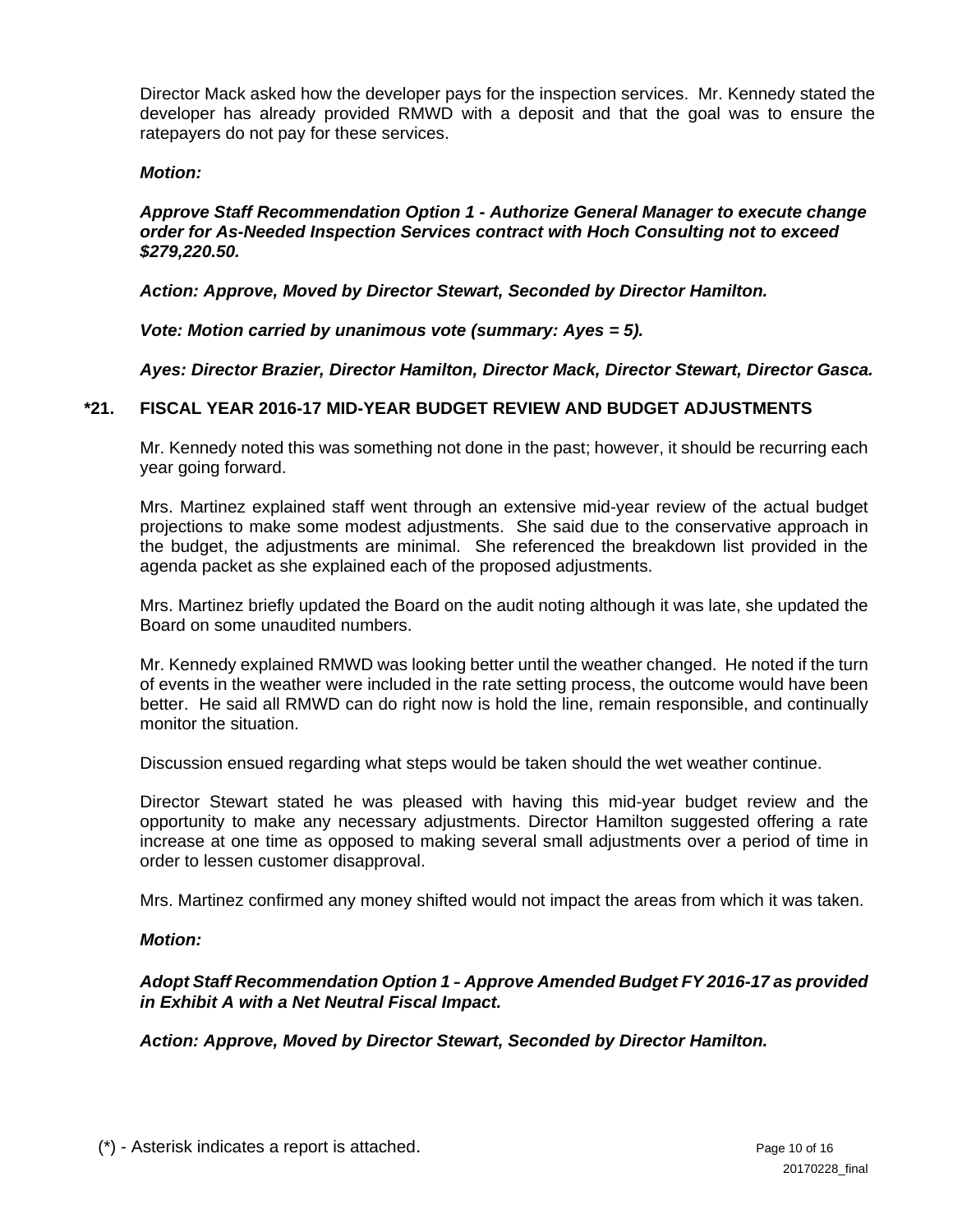Director Mack asked how the developer pays for the inspection services. Mr. Kennedy stated the developer has already provided RMWD with a deposit and that the goal was to ensure the ratepayers do not pay for these services.

#### *Motion:*

#### *Approve Staff Recommendation Option 1 - Authorize General Manager to execute change order for As-Needed Inspection Services contract with Hoch Consulting not to exceed \$279,220.50.*

 *Action: Approve, Moved by Director Stewart, Seconded by Director Hamilton.* 

 *Vote: Motion carried by unanimous vote (summary: Ayes = 5).* 

 *Ayes: Director Brazier, Director Hamilton, Director Mack, Director Stewart, Director Gasca.* 

#### **\*21. FISCAL YEAR 2016-17 MID-YEAR BUDGET REVIEW AND BUDGET ADJUSTMENTS**

Mr. Kennedy noted this was something not done in the past; however, it should be recurring each year going forward.

Mrs. Martinez explained staff went through an extensive mid-year review of the actual budget projections to make some modest adjustments. She said due to the conservative approach in the budget, the adjustments are minimal. She referenced the breakdown list provided in the agenda packet as she explained each of the proposed adjustments.

Mrs. Martinez briefly updated the Board on the audit noting although it was late, she updated the Board on some unaudited numbers.

Mr. Kennedy explained RMWD was looking better until the weather changed. He noted if the turn of events in the weather were included in the rate setting process, the outcome would have been better. He said all RMWD can do right now is hold the line, remain responsible, and continually monitor the situation.

Discussion ensued regarding what steps would be taken should the wet weather continue.

Director Stewart stated he was pleased with having this mid-year budget review and the opportunity to make any necessary adjustments. Director Hamilton suggested offering a rate increase at one time as opposed to making several small adjustments over a period of time in order to lessen customer disapproval.

Mrs. Martinez confirmed any money shifted would not impact the areas from which it was taken.

#### *Motion:*

*Adopt Staff Recommendation Option 1 - Approve Amended Budget FY 2016-17 as provided in Exhibit A with a Net Neutral Fiscal Impact.* 

*Action: Approve, Moved by Director Stewart, Seconded by Director Hamilton.*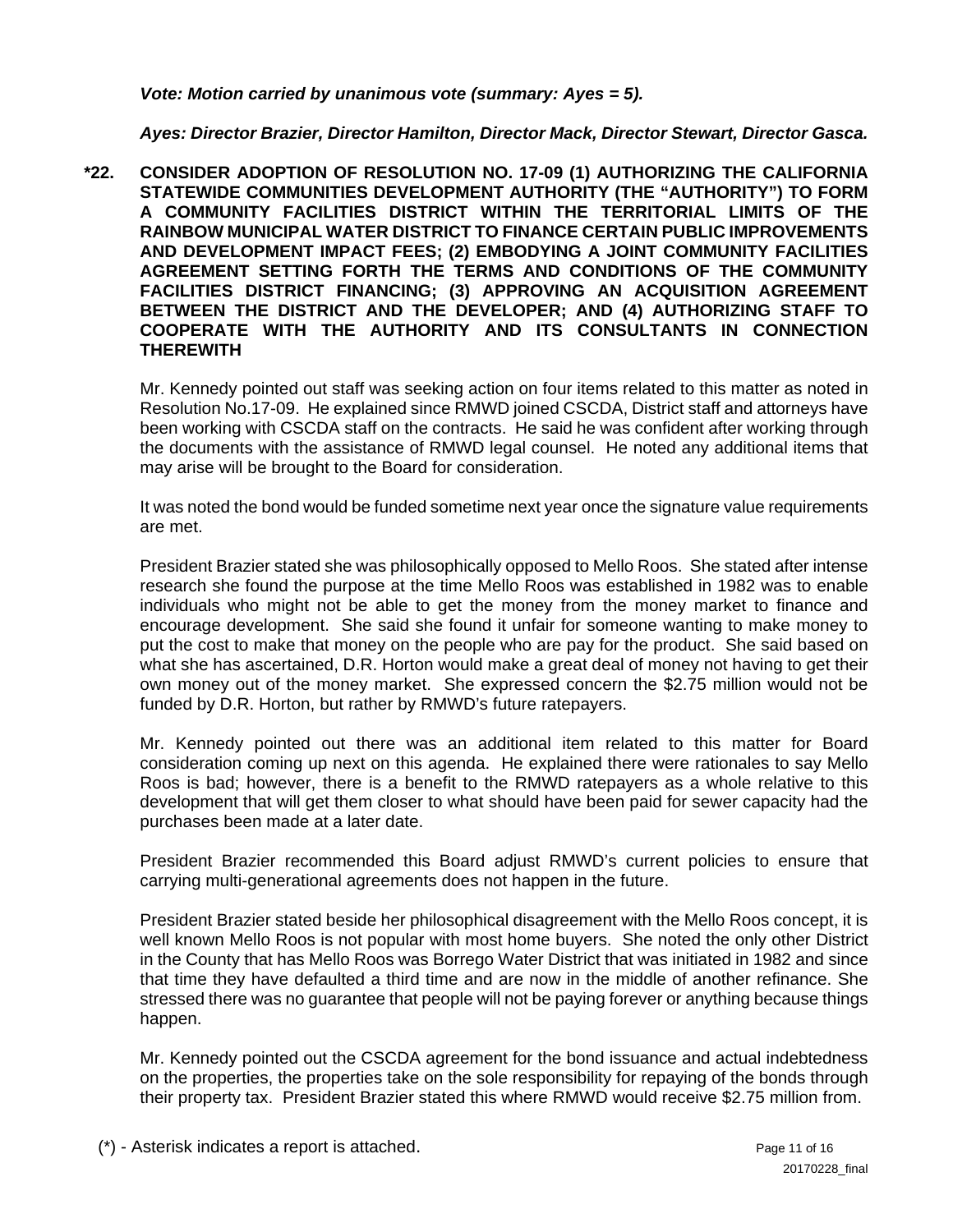### *Vote: Motion carried by unanimous vote (summary: Ayes = 5).*

### *Ayes: Director Brazier, Director Hamilton, Director Mack, Director Stewart, Director Gasca.*

**\*22. CONSIDER ADOPTION OF RESOLUTION NO. 17-09 (1) AUTHORIZING THE CALIFORNIA STATEWIDE COMMUNITIES DEVELOPMENT AUTHORITY (THE "AUTHORITY") TO FORM A COMMUNITY FACILITIES DISTRICT WITHIN THE TERRITORIAL LIMITS OF THE RAINBOW MUNICIPAL WATER DISTRICT TO FINANCE CERTAIN PUBLIC IMPROVEMENTS AND DEVELOPMENT IMPACT FEES; (2) EMBODYING A JOINT COMMUNITY FACILITIES AGREEMENT SETTING FORTH THE TERMS AND CONDITIONS OF THE COMMUNITY FACILITIES DISTRICT FINANCING; (3) APPROVING AN ACQUISITION AGREEMENT BETWEEN THE DISTRICT AND THE DEVELOPER; AND (4) AUTHORIZING STAFF TO COOPERATE WITH THE AUTHORITY AND ITS CONSULTANTS IN CONNECTION THEREWITH** 

 Mr. Kennedy pointed out staff was seeking action on four items related to this matter as noted in Resolution No.17-09. He explained since RMWD joined CSCDA, District staff and attorneys have been working with CSCDA staff on the contracts. He said he was confident after working through the documents with the assistance of RMWD legal counsel. He noted any additional items that may arise will be brought to the Board for consideration.

It was noted the bond would be funded sometime next year once the signature value requirements are met.

President Brazier stated she was philosophically opposed to Mello Roos. She stated after intense research she found the purpose at the time Mello Roos was established in 1982 was to enable individuals who might not be able to get the money from the money market to finance and encourage development. She said she found it unfair for someone wanting to make money to put the cost to make that money on the people who are pay for the product. She said based on what she has ascertained, D.R. Horton would make a great deal of money not having to get their own money out of the money market. She expressed concern the \$2.75 million would not be funded by D.R. Horton, but rather by RMWD's future ratepayers.

Mr. Kennedy pointed out there was an additional item related to this matter for Board consideration coming up next on this agenda. He explained there were rationales to say Mello Roos is bad; however, there is a benefit to the RMWD ratepayers as a whole relative to this development that will get them closer to what should have been paid for sewer capacity had the purchases been made at a later date.

President Brazier recommended this Board adjust RMWD's current policies to ensure that carrying multi-generational agreements does not happen in the future.

President Brazier stated beside her philosophical disagreement with the Mello Roos concept, it is well known Mello Roos is not popular with most home buyers. She noted the only other District in the County that has Mello Roos was Borrego Water District that was initiated in 1982 and since that time they have defaulted a third time and are now in the middle of another refinance. She stressed there was no guarantee that people will not be paying forever or anything because things happen.

Mr. Kennedy pointed out the CSCDA agreement for the bond issuance and actual indebtedness on the properties, the properties take on the sole responsibility for repaying of the bonds through their property tax. President Brazier stated this where RMWD would receive \$2.75 million from.

(\*) - Asterisk indicates a report is attached. Page 11 of 16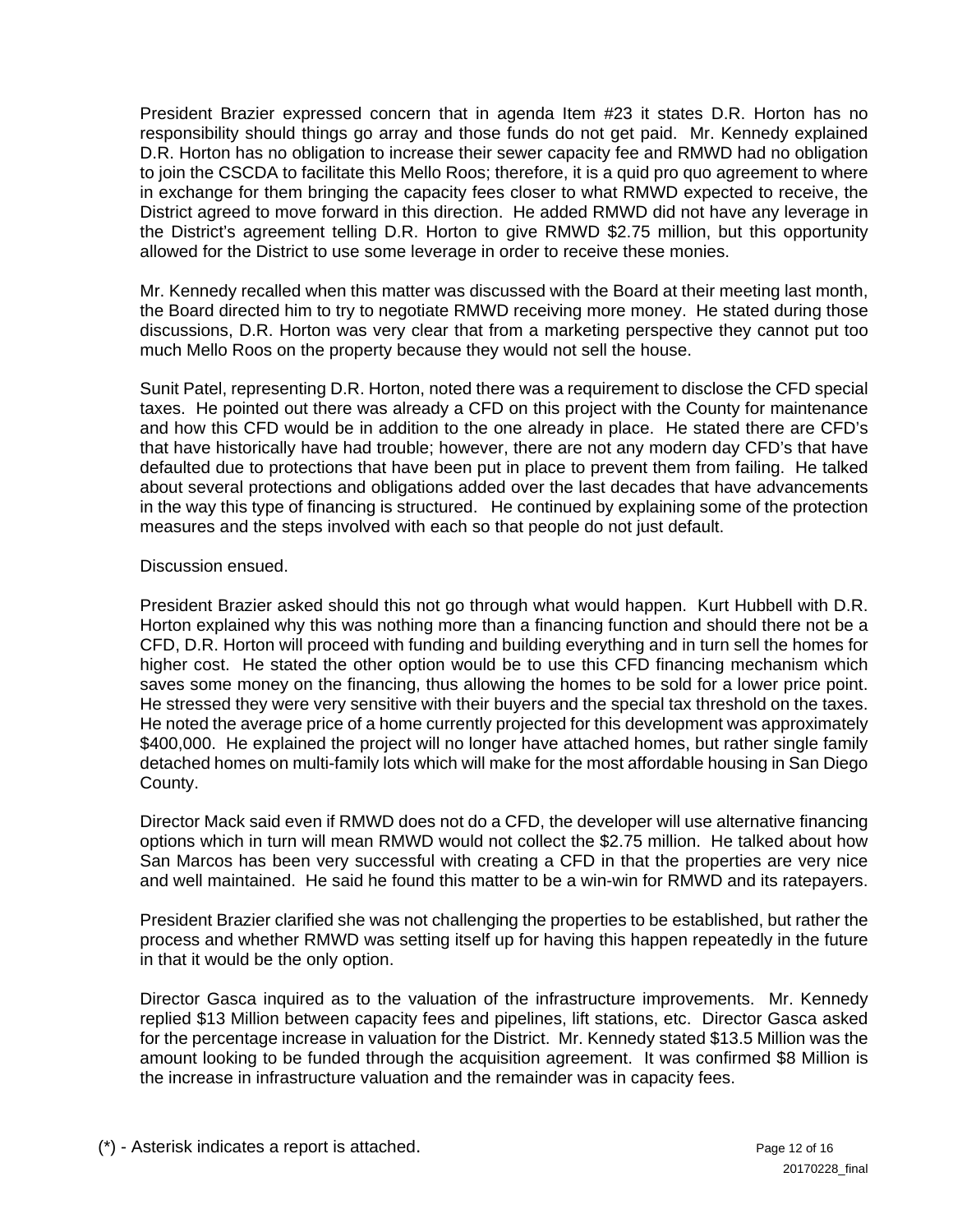President Brazier expressed concern that in agenda Item #23 it states D.R. Horton has no responsibility should things go array and those funds do not get paid. Mr. Kennedy explained D.R. Horton has no obligation to increase their sewer capacity fee and RMWD had no obligation to join the CSCDA to facilitate this Mello Roos; therefore, it is a quid pro quo agreement to where in exchange for them bringing the capacity fees closer to what RMWD expected to receive, the District agreed to move forward in this direction. He added RMWD did not have any leverage in the District's agreement telling D.R. Horton to give RMWD \$2.75 million, but this opportunity allowed for the District to use some leverage in order to receive these monies.

Mr. Kennedy recalled when this matter was discussed with the Board at their meeting last month, the Board directed him to try to negotiate RMWD receiving more money. He stated during those discussions, D.R. Horton was very clear that from a marketing perspective they cannot put too much Mello Roos on the property because they would not sell the house.

Sunit Patel, representing D.R. Horton, noted there was a requirement to disclose the CFD special taxes. He pointed out there was already a CFD on this project with the County for maintenance and how this CFD would be in addition to the one already in place. He stated there are CFD's that have historically have had trouble; however, there are not any modern day CFD's that have defaulted due to protections that have been put in place to prevent them from failing. He talked about several protections and obligations added over the last decades that have advancements in the way this type of financing is structured. He continued by explaining some of the protection measures and the steps involved with each so that people do not just default.

#### Discussion ensued.

President Brazier asked should this not go through what would happen. Kurt Hubbell with D.R. Horton explained why this was nothing more than a financing function and should there not be a CFD, D.R. Horton will proceed with funding and building everything and in turn sell the homes for higher cost. He stated the other option would be to use this CFD financing mechanism which saves some money on the financing, thus allowing the homes to be sold for a lower price point. He stressed they were very sensitive with their buyers and the special tax threshold on the taxes. He noted the average price of a home currently projected for this development was approximately \$400,000. He explained the project will no longer have attached homes, but rather single family detached homes on multi-family lots which will make for the most affordable housing in San Diego County.

Director Mack said even if RMWD does not do a CFD, the developer will use alternative financing options which in turn will mean RMWD would not collect the \$2.75 million. He talked about how San Marcos has been very successful with creating a CFD in that the properties are very nice and well maintained. He said he found this matter to be a win-win for RMWD and its ratepayers.

President Brazier clarified she was not challenging the properties to be established, but rather the process and whether RMWD was setting itself up for having this happen repeatedly in the future in that it would be the only option.

Director Gasca inquired as to the valuation of the infrastructure improvements. Mr. Kennedy replied \$13 Million between capacity fees and pipelines, lift stations, etc. Director Gasca asked for the percentage increase in valuation for the District. Mr. Kennedy stated \$13.5 Million was the amount looking to be funded through the acquisition agreement. It was confirmed \$8 Million is the increase in infrastructure valuation and the remainder was in capacity fees.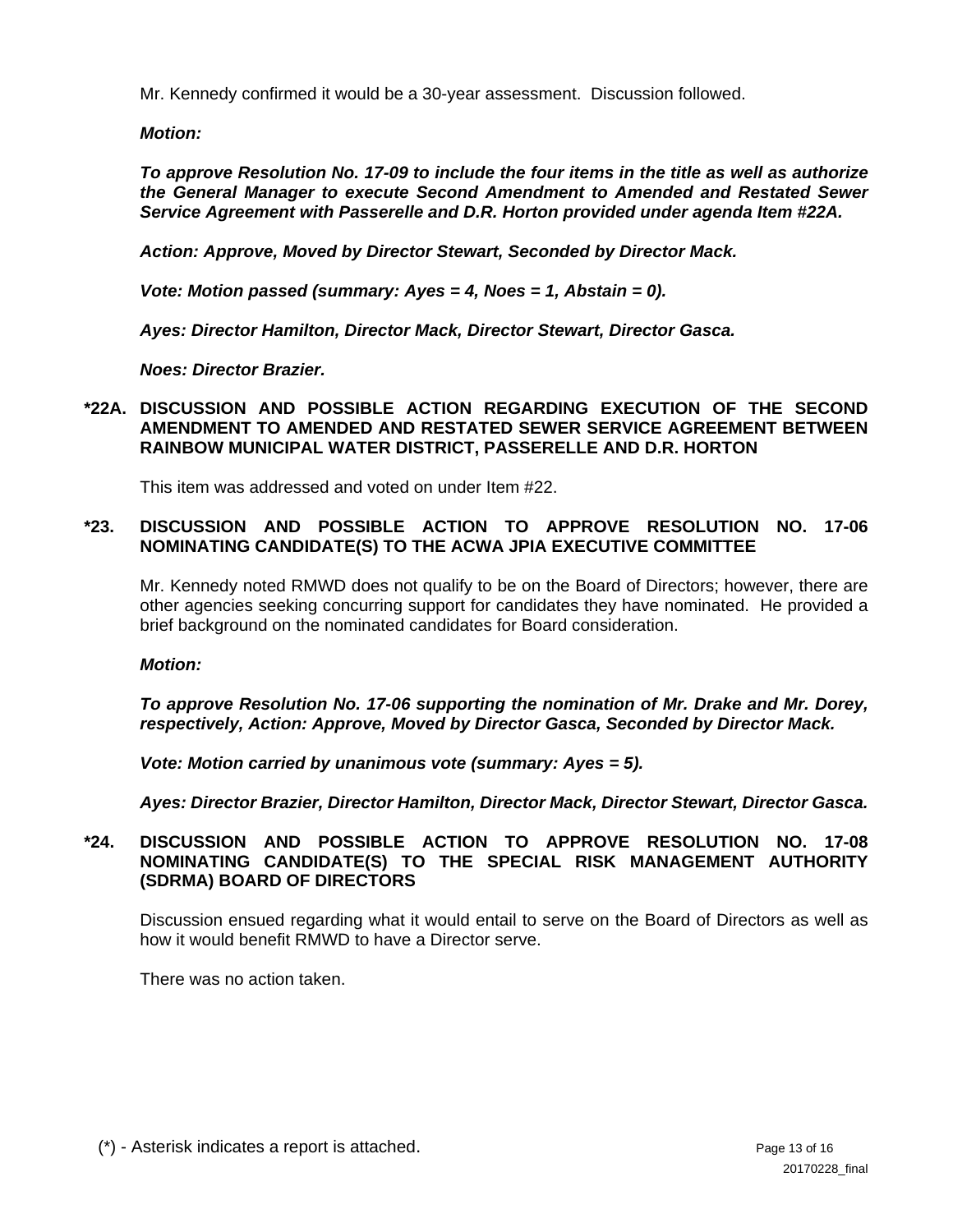Mr. Kennedy confirmed it would be a 30-year assessment. Discussion followed.

*Motion:* 

*To approve Resolution No. 17-09 to include the four items in the title as well as authorize the General Manager to execute Second Amendment to Amended and Restated Sewer Service Agreement with Passerelle and D.R. Horton provided under agenda Item #22A.* 

*Action: Approve, Moved by Director Stewart, Seconded by Director Mack.* 

*Vote: Motion passed (summary: Ayes = 4, Noes = 1, Abstain = 0).* 

*Ayes: Director Hamilton, Director Mack, Director Stewart, Director Gasca.* 

*Noes: Director Brazier.* 

## **\*22A. DISCUSSION AND POSSIBLE ACTION REGARDING EXECUTION OF THE SECOND AMENDMENT TO AMENDED AND RESTATED SEWER SERVICE AGREEMENT BETWEEN RAINBOW MUNICIPAL WATER DISTRICT, PASSERELLE AND D.R. HORTON**

This item was addressed and voted on under Item #22.

## **\*23. DISCUSSION AND POSSIBLE ACTION TO APPROVE RESOLUTION NO. 17-06 NOMINATING CANDIDATE(S) TO THE ACWA JPIA EXECUTIVE COMMITTEE**

Mr. Kennedy noted RMWD does not qualify to be on the Board of Directors; however, there are other agencies seeking concurring support for candidates they have nominated. He provided a brief background on the nominated candidates for Board consideration.

*Motion:* 

*To approve Resolution No. 17-06 supporting the nomination of Mr. Drake and Mr. Dorey, respectively, Action: Approve, Moved by Director Gasca, Seconded by Director Mack.* 

*Vote: Motion carried by unanimous vote (summary: Ayes = 5).* 

*Ayes: Director Brazier, Director Hamilton, Director Mack, Director Stewart, Director Gasca.* 

## **\*24. DISCUSSION AND POSSIBLE ACTION TO APPROVE RESOLUTION NO. 17-08 NOMINATING CANDIDATE(S) TO THE SPECIAL RISK MANAGEMENT AUTHORITY (SDRMA) BOARD OF DIRECTORS**

Discussion ensued regarding what it would entail to serve on the Board of Directors as well as how it would benefit RMWD to have a Director serve.

There was no action taken.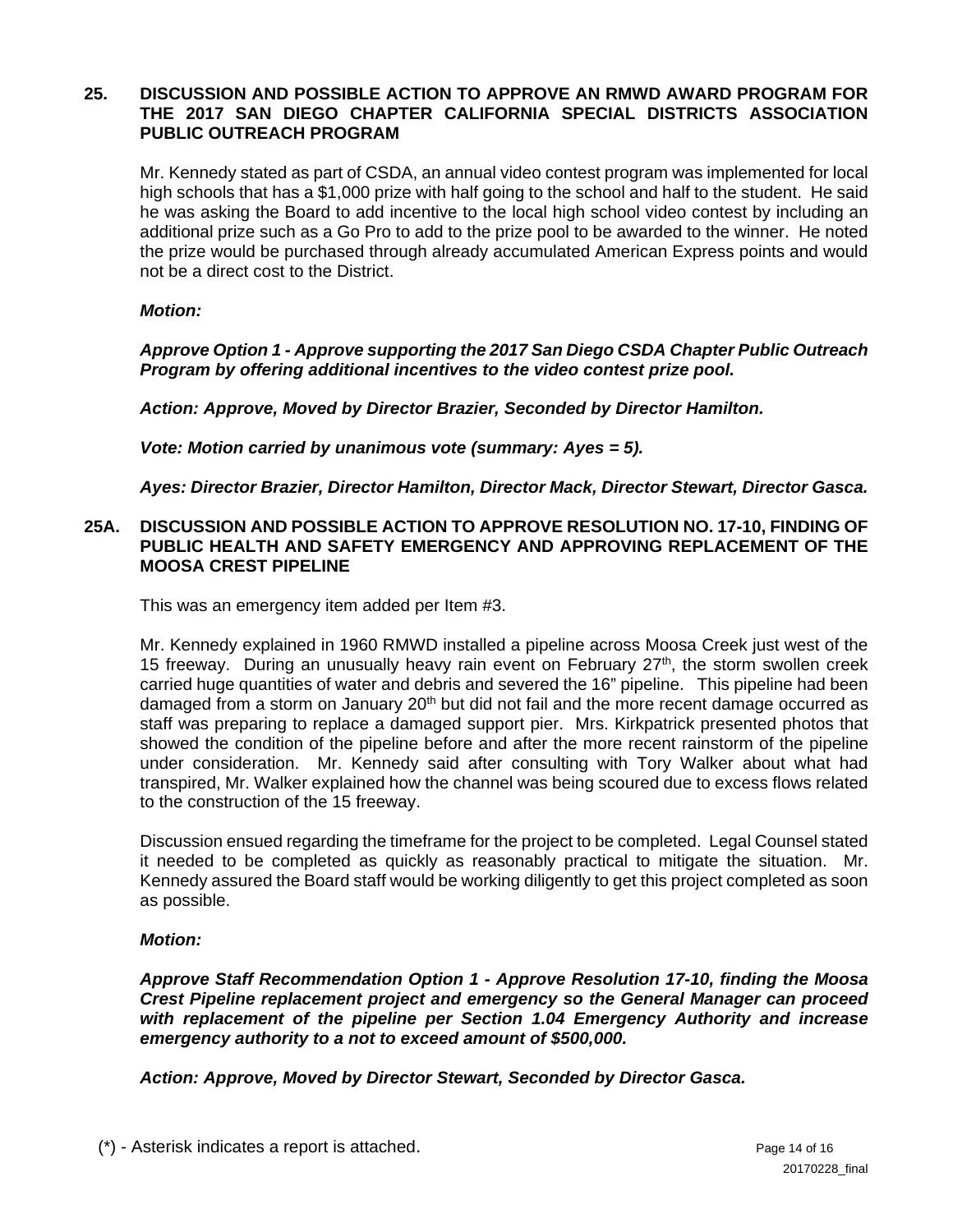#### **25. DISCUSSION AND POSSIBLE ACTION TO APPROVE AN RMWD AWARD PROGRAM FOR THE 2017 SAN DIEGO CHAPTER CALIFORNIA SPECIAL DISTRICTS ASSOCIATION PUBLIC OUTREACH PROGRAM**

Mr. Kennedy stated as part of CSDA, an annual video contest program was implemented for local high schools that has a \$1,000 prize with half going to the school and half to the student. He said he was asking the Board to add incentive to the local high school video contest by including an additional prize such as a Go Pro to add to the prize pool to be awarded to the winner. He noted the prize would be purchased through already accumulated American Express points and would not be a direct cost to the District.

#### *Motion:*

*Approve Option 1 - Approve supporting the 2017 San Diego CSDA Chapter Public Outreach Program by offering additional incentives to the video contest prize pool.*

*Action: Approve, Moved by Director Brazier, Seconded by Director Hamilton.* 

*Vote: Motion carried by unanimous vote (summary: Ayes = 5).* 

*Ayes: Director Brazier, Director Hamilton, Director Mack, Director Stewart, Director Gasca.* 

#### **25A. DISCUSSION AND POSSIBLE ACTION TO APPROVE RESOLUTION NO. 17-10, FINDING OF PUBLIC HEALTH AND SAFETY EMERGENCY AND APPROVING REPLACEMENT OF THE MOOSA CREST PIPELINE**

This was an emergency item added per Item #3.

Mr. Kennedy explained in 1960 RMWD installed a pipeline across Moosa Creek just west of the 15 freeway. During an unusually heavy rain event on February 27<sup>th</sup>, the storm swollen creek carried huge quantities of water and debris and severed the 16" pipeline. This pipeline had been damaged from a storm on January  $20<sup>th</sup>$  but did not fail and the more recent damage occurred as staff was preparing to replace a damaged support pier. Mrs. Kirkpatrick presented photos that showed the condition of the pipeline before and after the more recent rainstorm of the pipeline under consideration. Mr. Kennedy said after consulting with Tory Walker about what had transpired, Mr. Walker explained how the channel was being scoured due to excess flows related to the construction of the 15 freeway.

Discussion ensued regarding the timeframe for the project to be completed. Legal Counsel stated it needed to be completed as quickly as reasonably practical to mitigate the situation. Mr. Kennedy assured the Board staff would be working diligently to get this project completed as soon as possible.

#### *Motion:*

*Approve Staff Recommendation Option 1 - Approve Resolution 17-10, finding the Moosa Crest Pipeline replacement project and emergency so the General Manager can proceed with replacement of the pipeline per Section 1.04 Emergency Authority and increase emergency authority to a not to exceed amount of \$500,000.* 

*Action: Approve, Moved by Director Stewart, Seconded by Director Gasca.* 

(\*) - Asterisk indicates a report is attached. Page 14 of 16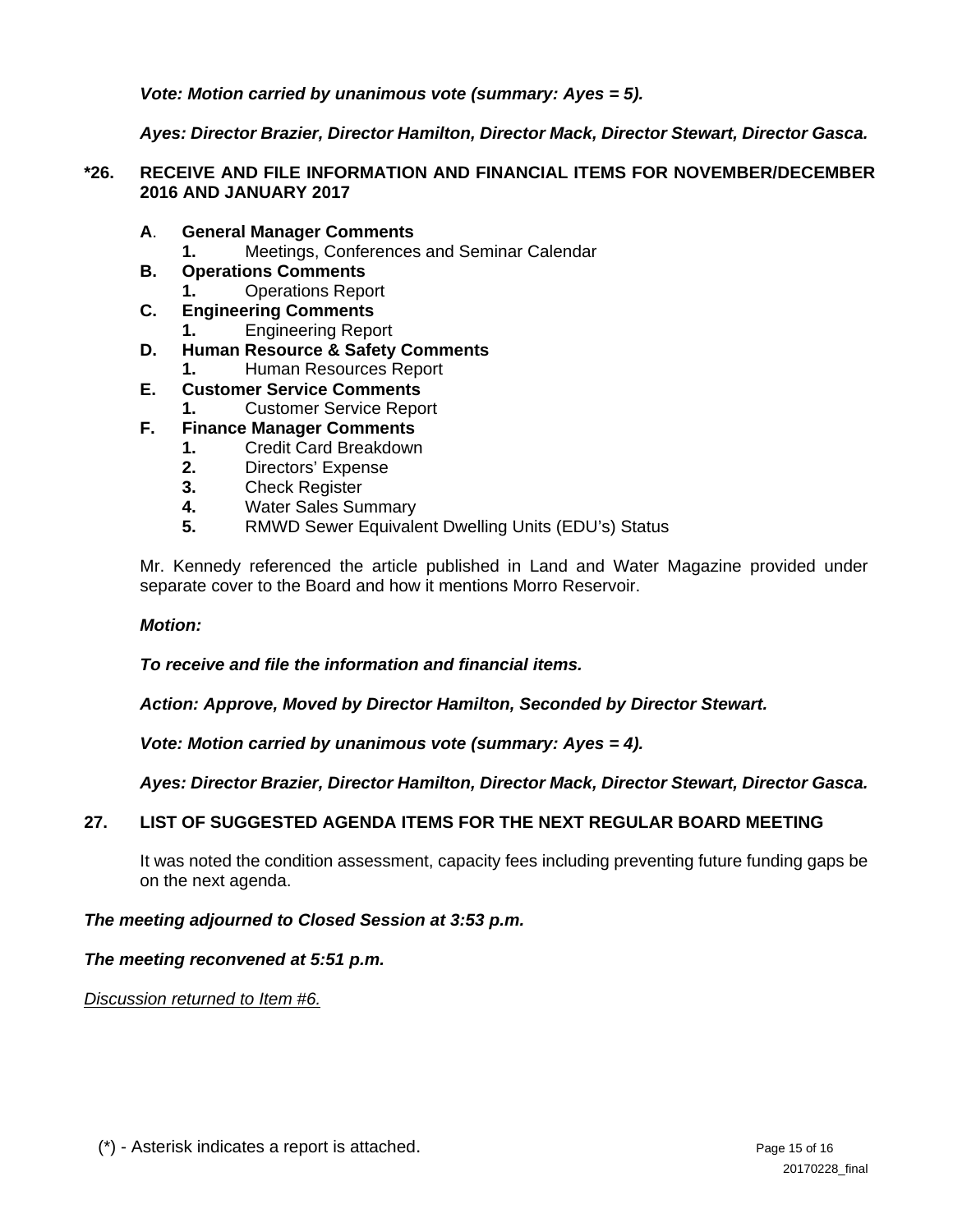*Vote: Motion carried by unanimous vote (summary: Ayes = 5).* 

*Ayes: Director Brazier, Director Hamilton, Director Mack, Director Stewart, Director Gasca.* 

## **\*26. RECEIVE AND FILE INFORMATION AND FINANCIAL ITEMS FOR NOVEMBER/DECEMBER 2016 AND JANUARY 2017**

- **A**. **General Manager Comments** 
	- **1.** Meetings, Conferences and Seminar Calendar
- **B. Operations Comments**
	- **1.** Operations Report
- **C. Engineering Comments 1.** Engineering Report
- **D. Human Resource & Safety Comments**
	- **1.** Human Resources Report
- **E. Customer Service Comments 1.** Customer Service Report
- **F. Finance Manager Comments**
	- **1.** Credit Card Breakdown
	- **2.** Directors' Expense
	- **3.** Check Register
	- **4.** Water Sales Summary
	- **5.** RMWD Sewer Equivalent Dwelling Units (EDU's) Status

Mr. Kennedy referenced the article published in Land and Water Magazine provided under separate cover to the Board and how it mentions Morro Reservoir.

### *Motion:*

*To receive and file the information and financial items.* 

*Action: Approve, Moved by Director Hamilton, Seconded by Director Stewart.* 

*Vote: Motion carried by unanimous vote (summary: Ayes = 4).* 

*Ayes: Director Brazier, Director Hamilton, Director Mack, Director Stewart, Director Gasca.* 

## **27. LIST OF SUGGESTED AGENDA ITEMS FOR THE NEXT REGULAR BOARD MEETING**

It was noted the condition assessment, capacity fees including preventing future funding gaps be on the next agenda.

## *The meeting adjourned to Closed Session at 3:53 p.m.*

*The meeting reconvened at 5:51 p.m.* 

*Discussion returned to Item #6.*